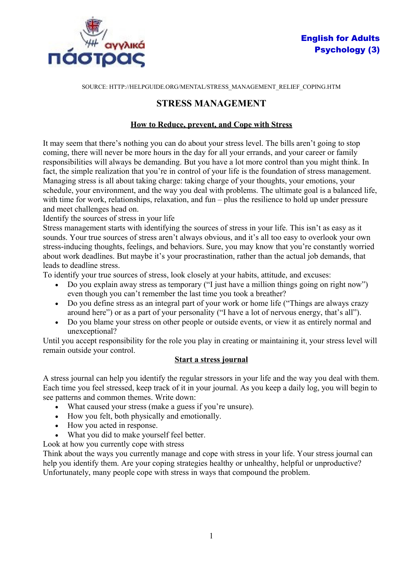

SOURCE: HTTP://HELPGUIDE.ORG/MENTAL/STRESS\_MANAGEMENT\_RELIEF\_COPING.HTM

## **STRESS MANAGEMENT**

## **How to Reduce, prevent, and Cope with Stress**

It may seem that there's nothing you can do about your stress level. The bills aren't going to stop coming, there will never be more hours in the day for all your errands, and your career or family responsibilities will always be demanding. But you have a lot more control than you might think. In fact, the simple realization that you're in control of your life is the foundation of stress management. Managing stress is all about taking charge: taking charge of your thoughts, your emotions, your schedule, your environment, and the way you deal with problems. The ultimate goal is a balanced life, with time for work, relationships, relaxation, and fun – plus the resilience to hold up under pressure and meet challenges head on.

Identify the sources of stress in your life

Stress management starts with identifying the sources of stress in your life. This isn't as easy as it sounds. Your true sources of stress aren't always obvious, and it's all too easy to overlook your own stress-inducing thoughts, feelings, and behaviors. Sure, you may know that you're constantly worried about work deadlines. But maybe it's your procrastination, rather than the actual job demands, that leads to deadline stress.

To identify your true sources of stress, look closely at your habits, attitude, and excuses:

- Do you explain away stress as temporary ("I just have a million things going on right now") even though you can't remember the last time you took a breather?
- Do you define stress as an integral part of your work or home life ("Things are always crazy around here") or as a part of your personality ("I have a lot of nervous energy, that's all").
- Do you blame your stress on other people or outside events, or view it as entirely normal and unexceptional?

Until you accept responsibility for the role you play in creating or maintaining it, your stress level will remain outside your control.

#### **Start a stress journal**

A stress journal can help you identify the regular stressors in your life and the way you deal with them. Each time you feel stressed, keep track of it in your journal. As you keep a daily log, you will begin to see patterns and common themes. Write down:

- What caused your stress (make a guess if you're unsure).
- How you felt, both physically and emotionally.
- How you acted in response.
- What you did to make yourself feel better.

Look at how you currently cope with stress

Think about the ways you currently manage and cope with stress in your life. Your stress journal can help you identify them. Are your coping strategies healthy or unhealthy, helpful or unproductive? Unfortunately, many people cope with stress in ways that compound the problem.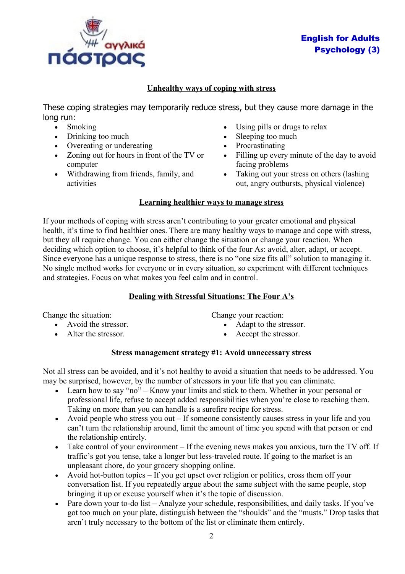

# English for Adults Psychology (3)

## **Unhealthy ways of coping with stress**

These coping strategies may temporarily reduce stress, but they cause more damage in the long run:

- Smoking
- Drinking too much
- Overeating or undereating
- Zoning out for hours in front of the TV or computer
- Withdrawing from friends, family, and activities
- Using pills or drugs to relax
- Sleeping too much
- Procrastinating
- Filling up every minute of the day to avoid facing problems
- Taking out your stress on others (lashing out, angry outbursts, physical violence)

#### **Learning healthier ways to manage stress**

If your methods of coping with stress aren't contributing to your greater emotional and physical health, it's time to find healthier ones. There are many healthy ways to manage and cope with stress, but they all require change. You can either change the situation or change your reaction. When deciding which option to choose, it's helpful to think of the four As: avoid, alter, adapt, or accept. Since everyone has a unique response to stress, there is no "one size fits all" solution to managing it. No single method works for everyone or in every situation, so experiment with different techniques and strategies. Focus on what makes you feel calm and in control.

#### **Dealing with Stressful Situations: The Four A's**

Change the situation:

- Avoid the stressor.
- Alter the stressor
- Change your reaction:
	- Adapt to the stressor.
	- Accept the stressor.

#### **Stress management strategy #1: Avoid unnecessary stress**

Not all stress can be avoided, and it's not healthy to avoid a situation that needs to be addressed. You may be surprised, however, by the number of stressors in your life that you can eliminate.

- Learn how to say "no" Know your limits and stick to them. Whether in your personal or professional life, refuse to accept added responsibilities when you're close to reaching them. Taking on more than you can handle is a surefire recipe for stress.
- Avoid people who stress you out If someone consistently causes stress in your life and you can't turn the relationship around, limit the amount of time you spend with that person or end the relationship entirely.
- Take control of your environment If the evening news makes you anxious, turn the TV off. If traffic's got you tense, take a longer but less-traveled route. If going to the market is an unpleasant chore, do your grocery shopping online.
- Avoid hot-button topics If you get upset over religion or politics, cross them off your conversation list. If you repeatedly argue about the same subject with the same people, stop bringing it up or excuse yourself when it's the topic of discussion.
- Pare down your to-do list Analyze your schedule, responsibilities, and daily tasks. If you've got too much on your plate, distinguish between the "shoulds" and the "musts." Drop tasks that aren't truly necessary to the bottom of the list or eliminate them entirely.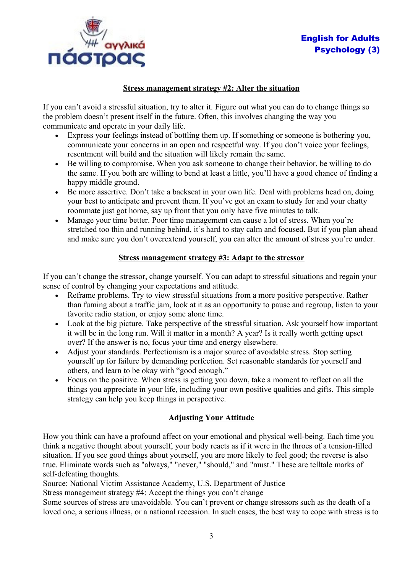

## **Stress management strategy #2: Alter the situation**

If you can't avoid a stressful situation, try to alter it. Figure out what you can do to change things so the problem doesn't present itself in the future. Often, this involves changing the way you communicate and operate in your daily life.

- Express your feelings instead of bottling them up. If something or someone is bothering you, communicate your concerns in an open and respectful way. If you don't voice your feelings, resentment will build and the situation will likely remain the same.
- Be willing to compromise. When you ask someone to change their behavior, be willing to do the same. If you both are willing to bend at least a little, you'll have a good chance of finding a happy middle ground.
- Be more assertive. Don't take a backseat in your own life. Deal with problems head on, doing your best to anticipate and prevent them. If you've got an exam to study for and your chatty roommate just got home, say up front that you only have five minutes to talk.
- Manage your time better. Poor time management can cause a lot of stress. When you're stretched too thin and running behind, it's hard to stay calm and focused. But if you plan ahead and make sure you don't overextend yourself, you can alter the amount of stress you're under.

### **Stress management strategy #3: Adapt to the stressor**

If you can't change the stressor, change yourself. You can adapt to stressful situations and regain your sense of control by changing your expectations and attitude.

- Reframe problems. Try to view stressful situations from a more positive perspective. Rather than fuming about a traffic jam, look at it as an opportunity to pause and regroup, listen to your favorite radio station, or enjoy some alone time.
- Look at the big picture. Take perspective of the stressful situation. Ask yourself how important it will be in the long run. Will it matter in a month? A year? Is it really worth getting upset over? If the answer is no, focus your time and energy elsewhere.
- Adjust your standards. Perfectionism is a major source of avoidable stress. Stop setting yourself up for failure by demanding perfection. Set reasonable standards for yourself and others, and learn to be okay with "good enough."
- Focus on the positive. When stress is getting you down, take a moment to reflect on all the things you appreciate in your life, including your own positive qualities and gifts. This simple strategy can help you keep things in perspective.

### **Adjusting Your Attitude**

How you think can have a profound affect on your emotional and physical well-being. Each time you think a negative thought about yourself, your body reacts as if it were in the throes of a tension-filled situation. If you see good things about yourself, you are more likely to feel good; the reverse is also true. Eliminate words such as "always," "never," "should," and "must." These are telltale marks of self-defeating thoughts.

Source: [National Victim Assistance Academy, U.S. Department of Justice](http://www.ojp.usdoj.gov/ovc/assist/nvaa2002/chapter6_2.html)

Stress management strategy #4: Accept the things you can't change

Some sources of stress are unavoidable. You can't prevent or change stressors such as the death of a loved one, a serious illness, or a national recession. In such cases, the best way to cope with stress is to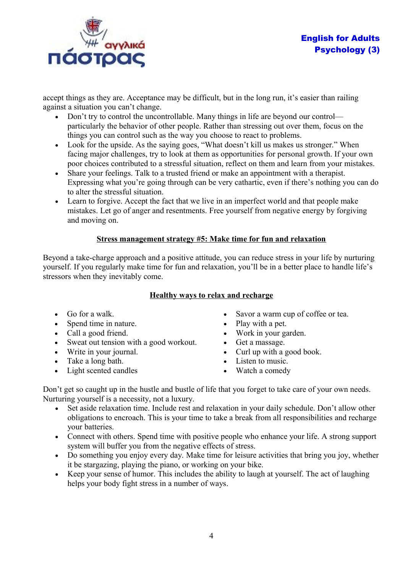

accept things as they are. Acceptance may be difficult, but in the long run, it's easier than railing against a situation you can't change.

- Don't try to control the uncontrollable. Many things in life are beyond our control particularly the behavior of other people. Rather than stressing out over them, focus on the things you can control such as the way you choose to react to problems.
- Look for the upside. As the saying goes, "What doesn't kill us makes us stronger." When facing major challenges, try to look at them as opportunities for personal growth. If your own poor choices contributed to a stressful situation, reflect on them and learn from your mistakes.
- Share your feelings. Talk to a trusted friend or make an appointment with a therapist. Expressing what you're going through can be very cathartic, even if there's nothing you can do to alter the stressful situation.
- Learn to forgive. Accept the fact that we live in an imperfect world and that people make mistakes. Let go of anger and resentments. Free yourself from negative energy by forgiving and moving on.

### **Stress management strategy #5: Make time for fun and relaxation**

Beyond a take-charge approach and a positive attitude, you can reduce stress in your life by nurturing yourself. If you regularly make time for fun and relaxation, you'll be in a better place to handle life's stressors when they inevitably come.

## **Healthy ways to relax and recharge**

- Go for a walk.
- Spend time in nature.
- Call a good friend.
- Sweat out tension with a good workout.
- Write in your journal.
- Take a long bath.
- Light scented candles
- Savor a warm cup of coffee or tea.
- Play with a pet.
- Work in your garden.
- Get a massage.
- Curl up with a good book.
- Listen to music.
- Watch a comedy

Don't get so caught up in the hustle and bustle of life that you forget to take care of your own needs. Nurturing yourself is a necessity, not a luxury.

- Set aside relaxation time. Include rest and relaxation in your daily schedule. Don't allow other obligations to encroach. This is your time to take a break from all responsibilities and recharge your batteries.
- Connect with others. Spend time with positive people who enhance your life. A strong support system will buffer you from the negative effects of stress.
- Do something you enjoy every day. Make time for leisure activities that bring you joy, whether it be stargazing, playing the piano, or working on your bike.
- Keep your sense of humor. This includes the ability to laugh at yourself. The act of laughing helps your body fight stress in a number of ways.